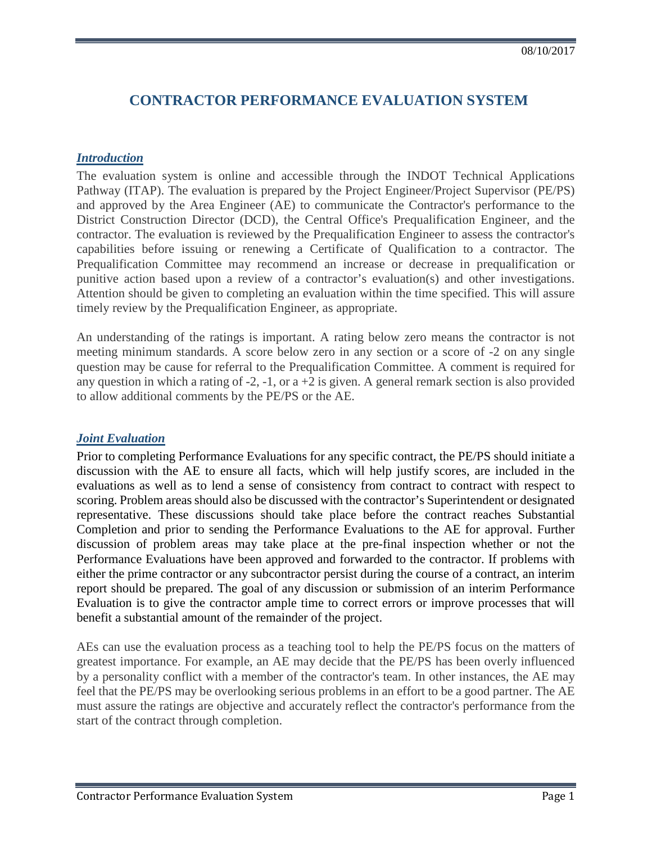# **CONTRACTOR PERFORMANCE EVALUATION SYSTEM**

#### *Introduction*

The evaluation system is online and accessible through the INDOT Technical Applications Pathway (ITAP). The evaluation is prepared by the Project Engineer/Project Supervisor (PE/PS) and approved by the Area Engineer (AE) to communicate the Contractor's performance to the District Construction Director (DCD), the Central Office's Prequalification Engineer, and the contractor. The evaluation is reviewed by the Prequalification Engineer to assess the contractor's capabilities before issuing or renewing a Certificate of Qualification to a contractor. The Prequalification Committee may recommend an increase or decrease in prequalification or punitive action based upon a review of a contractor's evaluation(s) and other investigations. Attention should be given to completing an evaluation within the time specified. This will assure timely review by the Prequalification Engineer, as appropriate.

An understanding of the ratings is important. A rating below zero means the contractor is not meeting minimum standards. A score below zero in any section or a score of -2 on any single question may be cause for referral to the Prequalification Committee. A comment is required for any question in which a rating of  $-2$ ,  $-1$ , or a  $+2$  is given. A general remark section is also provided to allow additional comments by the PE/PS or the AE.

#### *Joint Evaluation*

Prior to completing Performance Evaluations for any specific contract, the PE/PS should initiate a discussion with the AE to ensure all facts, which will help justify scores, are included in the evaluations as well as to lend a sense of consistency from contract to contract with respect to scoring. Problem areas should also be discussed with the contractor's Superintendent or designated representative. These discussions should take place before the contract reaches Substantial Completion and prior to sending the Performance Evaluations to the AE for approval. Further discussion of problem areas may take place at the pre-final inspection whether or not the Performance Evaluations have been approved and forwarded to the contractor. If problems with either the prime contractor or any subcontractor persist during the course of a contract, an interim report should be prepared. The goal of any discussion or submission of an interim Performance Evaluation is to give the contractor ample time to correct errors or improve processes that will benefit a substantial amount of the remainder of the project.

AEs can use the evaluation process as a teaching tool to help the PE/PS focus on the matters of greatest importance. For example, an AE may decide that the PE/PS has been overly influenced by a personality conflict with a member of the contractor's team. In other instances, the AE may feel that the PE/PS may be overlooking serious problems in an effort to be a good partner. The AE must assure the ratings are objective and accurately reflect the contractor's performance from the start of the contract through completion.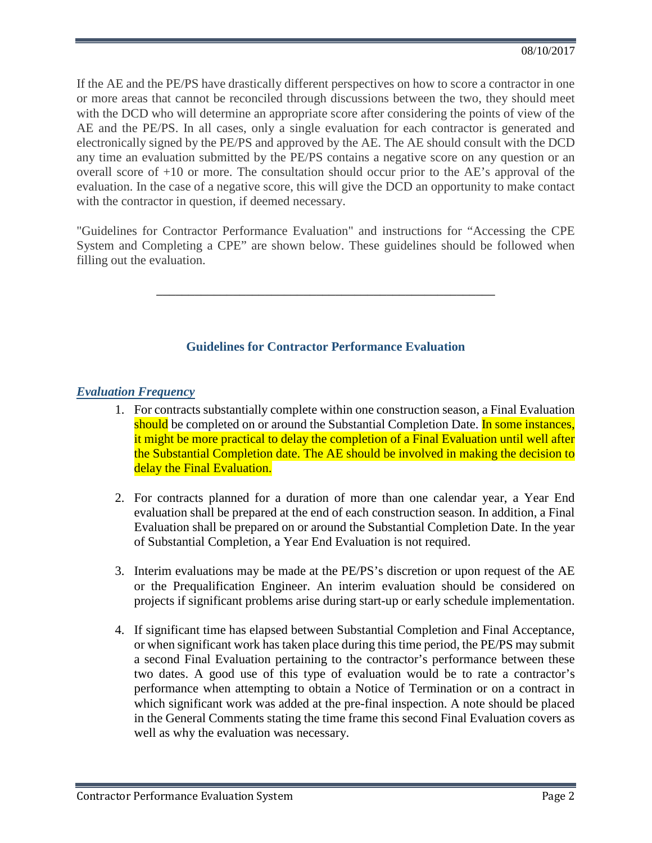If the AE and the PE/PS have drastically different perspectives on how to score a contractor in one or more areas that cannot be reconciled through discussions between the two, they should meet with the DCD who will determine an appropriate score after considering the points of view of the AE and the PE/PS. In all cases, only a single evaluation for each contractor is generated and electronically signed by the PE/PS and approved by the AE. The AE should consult with the DCD any time an evaluation submitted by the PE/PS contains a negative score on any question or an overall score of +10 or more. The consultation should occur prior to the AE's approval of the evaluation. In the case of a negative score, this will give the DCD an opportunity to make contact with the contractor in question, if deemed necessary.

"Guidelines for Contractor Performance Evaluation" and instructions for "Accessing the CPE System and Completing a CPE" are shown below. These guidelines should be followed when filling out the evaluation.

**\_\_\_\_\_\_\_\_\_\_\_\_\_\_\_\_\_\_\_\_\_\_\_\_\_\_\_\_\_\_\_\_\_\_\_\_\_\_\_\_\_\_\_\_\_\_\_\_\_\_\_\_\_**

# **Guidelines for Contractor Performance Evaluation**

## *Evaluation Frequency*

- 1. For contracts substantially complete within one construction season, a Final Evaluation should be completed on or around the Substantial Completion Date. In some instances, it might be more practical to delay the completion of a Final Evaluation until well after the Substantial Completion date. The AE should be involved in making the decision to delay the Final Evaluation.
- 2. For contracts planned for a duration of more than one calendar year, a Year End evaluation shall be prepared at the end of each construction season. In addition, a Final Evaluation shall be prepared on or around the Substantial Completion Date. In the year of Substantial Completion, a Year End Evaluation is not required.
- 3. Interim evaluations may be made at the PE/PS's discretion or upon request of the AE or the Prequalification Engineer. An interim evaluation should be considered on projects if significant problems arise during start-up or early schedule implementation.
- 4. If significant time has elapsed between Substantial Completion and Final Acceptance, or when significant work has taken place during this time period, the PE/PS may submit a second Final Evaluation pertaining to the contractor's performance between these two dates. A good use of this type of evaluation would be to rate a contractor's performance when attempting to obtain a Notice of Termination or on a contract in which significant work was added at the pre-final inspection. A note should be placed in the General Comments stating the time frame this second Final Evaluation covers as well as why the evaluation was necessary.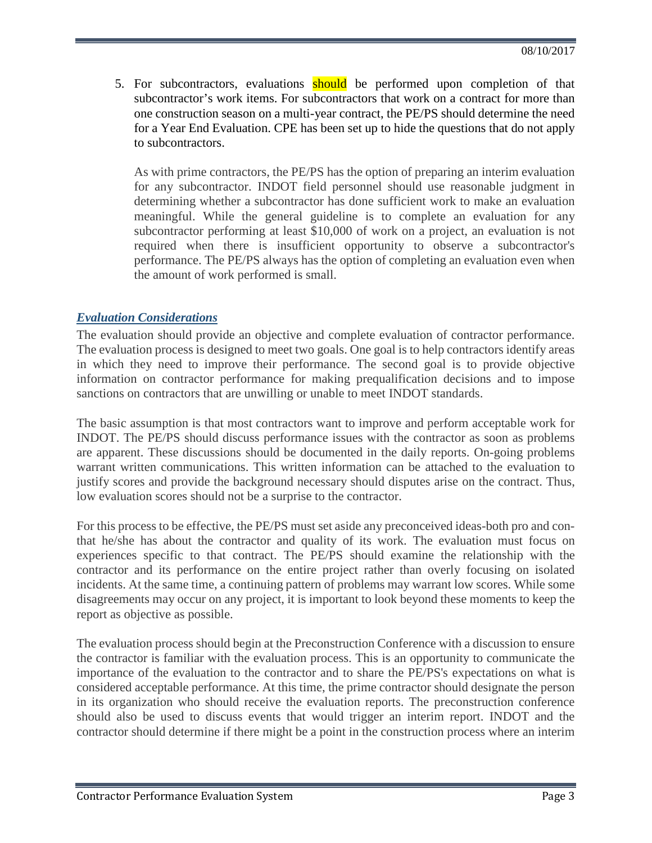5. For subcontractors, evaluations should be performed upon completion of that subcontractor's work items. For subcontractors that work on a contract for more than one construction season on a multi-year contract, the PE/PS should determine the need for a Year End Evaluation. CPE has been set up to hide the questions that do not apply to subcontractors.

As with prime contractors, the PE/PS has the option of preparing an interim evaluation for any subcontractor. INDOT field personnel should use reasonable judgment in determining whether a subcontractor has done sufficient work to make an evaluation meaningful. While the general guideline is to complete an evaluation for any subcontractor performing at least \$10,000 of work on a project, an evaluation is not required when there is insufficient opportunity to observe a subcontractor's performance. The PE/PS always has the option of completing an evaluation even when the amount of work performed is small.

### *Evaluation Considerations*

The evaluation should provide an objective and complete evaluation of contractor performance. The evaluation process is designed to meet two goals. One goal is to help contractors identify areas in which they need to improve their performance. The second goal is to provide objective information on contractor performance for making prequalification decisions and to impose sanctions on contractors that are unwilling or unable to meet INDOT standards.

The basic assumption is that most contractors want to improve and perform acceptable work for INDOT. The PE/PS should discuss performance issues with the contractor as soon as problems are apparent. These discussions should be documented in the daily reports. On-going problems warrant written communications. This written information can be attached to the evaluation to justify scores and provide the background necessary should disputes arise on the contract. Thus, low evaluation scores should not be a surprise to the contractor.

For this process to be effective, the PE/PS must set aside any preconceived ideas-both pro and conthat he/she has about the contractor and quality of its work. The evaluation must focus on experiences specific to that contract. The PE/PS should examine the relationship with the contractor and its performance on the entire project rather than overly focusing on isolated incidents. At the same time, a continuing pattern of problems may warrant low scores. While some disagreements may occur on any project, it is important to look beyond these moments to keep the report as objective as possible.

The evaluation process should begin at the Preconstruction Conference with a discussion to ensure the contractor is familiar with the evaluation process. This is an opportunity to communicate the importance of the evaluation to the contractor and to share the PE/PS's expectations on what is considered acceptable performance. At this time, the prime contractor should designate the person in its organization who should receive the evaluation reports. The preconstruction conference should also be used to discuss events that would trigger an interim report. INDOT and the contractor should determine if there might be a point in the construction process where an interim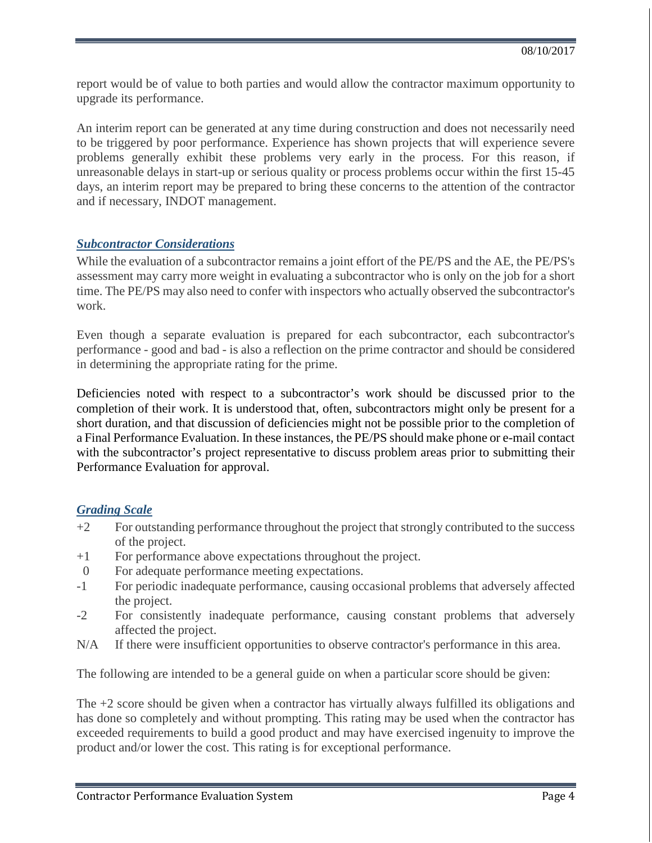report would be of value to both parties and would allow the contractor maximum opportunity to upgrade its performance.

An interim report can be generated at any time during construction and does not necessarily need to be triggered by poor performance. Experience has shown projects that will experience severe problems generally exhibit these problems very early in the process. For this reason, if unreasonable delays in start-up or serious quality or process problems occur within the first 15-45 days, an interim report may be prepared to bring these concerns to the attention of the contractor and if necessary, INDOT management.

#### *Subcontractor Considerations*

While the evaluation of a subcontractor remains a joint effort of the PE/PS and the AE, the PE/PS's assessment may carry more weight in evaluating a subcontractor who is only on the job for a short time. The PE/PS may also need to confer with inspectors who actually observed the subcontractor's work.

Even though a separate evaluation is prepared for each subcontractor, each subcontractor's performance - good and bad - is also a reflection on the prime contractor and should be considered in determining the appropriate rating for the prime.

Deficiencies noted with respect to a subcontractor's work should be discussed prior to the completion of their work. It is understood that, often, subcontractors might only be present for a short duration, and that discussion of deficiencies might not be possible prior to the completion of a Final Performance Evaluation. In these instances, the PE/PS should make phone or e-mail contact with the subcontractor's project representative to discuss problem areas prior to submitting their Performance Evaluation for approval.

### *Grading Scale*

- +2 For outstanding performance throughout the project that strongly contributed to the success of the project.
- +1 For performance above expectations throughout the project.
- 0 For adequate performance meeting expectations.
- -1 For periodic inadequate performance, causing occasional problems that adversely affected the project.
- -2 For consistently inadequate performance, causing constant problems that adversely affected the project.
- N/A If there were insufficient opportunities to observe contractor's performance in this area.

The following are intended to be a general guide on when a particular score should be given:

The +2 score should be given when a contractor has virtually always fulfilled its obligations and has done so completely and without prompting. This rating may be used when the contractor has exceeded requirements to build a good product and may have exercised ingenuity to improve the product and/or lower the cost. This rating is for exceptional performance.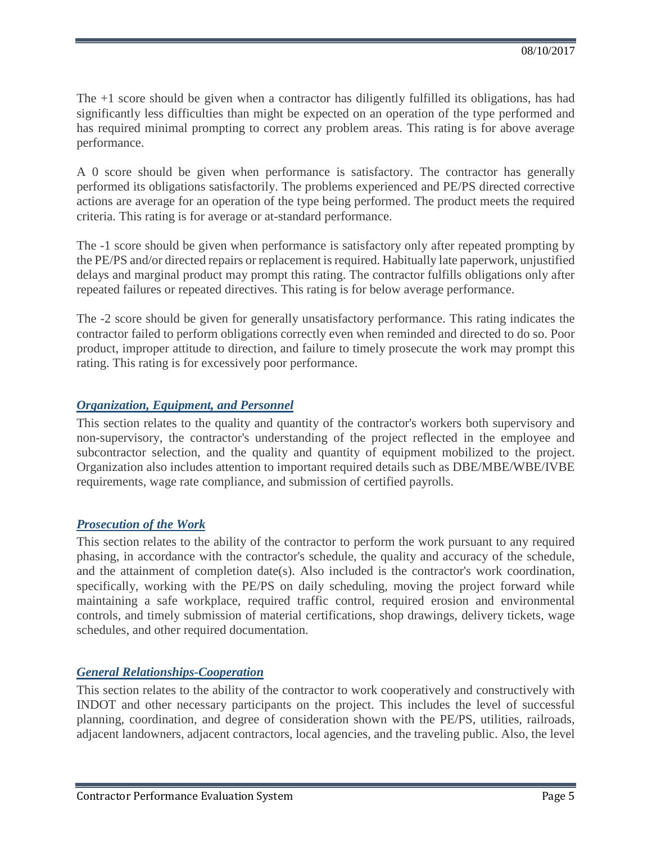The +1 score should be given when a contractor has diligently fulfilled its obligations, has had significantly less difficulties than might be expected on an operation of the type performed and has required minimal prompting to correct any problem areas. This rating is for above average performance.

A 0 score should be given when performance is satisfactory. The contractor has generally performed its obligations satisfactorily. The problems experienced and PE/PS directed corrective actions are average for an operation of the type being performed. The product meets the required criteria. This rating is for average or at-standard performance.

The -1 score should be given when performance is satisfactory only after repeated prompting by the PE/PS and/or directed repairs or replacement is required. Habitually late paperwork, unjustified delays and marginal product may prompt this rating. The contractor fulfills obligations only after repeated failures or repeated directives. This rating is for below average performance.

The -2 score should be given for generally unsatisfactory performance. This rating indicates the contractor failed to perform obligations correctly even when reminded and directed to do so. Poor product, improper attitude to direction, and failure to timely prosecute the work may prompt this rating. This rating is for excessively poor performance.

## *Organization, Equipment, and Personnel*

This section relates to the quality and quantity of the contractor's workers both supervisory and non-supervisory, the contractor's understanding of the project reflected in the employee and subcontractor selection, and the quality and quantity of equipment mobilized to the project. Organization also includes attention to important required details such as DBE/MBE/WBE/IVBE requirements, wage rate compliance, and submission of certified payrolls.

## *Prosecution of the Work*

This section relates to the ability of the contractor to perform the work pursuant to any required phasing, in accordance with the contractor's schedule, the quality and accuracy of the schedule, and the attainment of completion date(s). Also included is the contractor's work coordination, specifically, working with the PE/PS on daily scheduling, moving the project forward while maintaining a safe workplace, required traffic control, required erosion and environmental controls, and timely submission of material certifications, shop drawings, delivery tickets, wage schedules, and other required documentation.

## *General Relationships-Cooperation*

This section relates to the ability of the contractor to work cooperatively and constructively with INDOT and other necessary participants on the project. This includes the level of successful planning, coordination, and degree of consideration shown with the PE/PS, utilities, railroads, adjacent landowners, adjacent contractors, local agencies, and the traveling public. Also, the level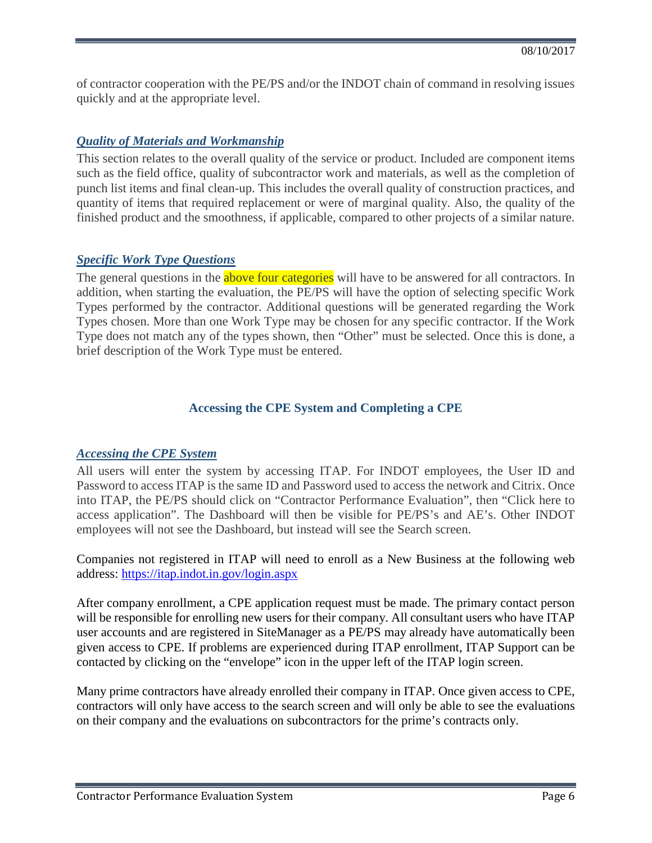of contractor cooperation with the PE/PS and/or the INDOT chain of command in resolving issues quickly and at the appropriate level.

## *Quality of Materials and Workmanship*

This section relates to the overall quality of the service or product. Included are component items such as the field office, quality of subcontractor work and materials, as well as the completion of punch list items and final clean-up. This includes the overall quality of construction practices, and quantity of items that required replacement or were of marginal quality. Also, the quality of the finished product and the smoothness, if applicable, compared to other projects of a similar nature.

## *Specific Work Type Questions*

The general questions in the **above four categories** will have to be answered for all contractors. In addition, when starting the evaluation, the PE/PS will have the option of selecting specific Work Types performed by the contractor. Additional questions will be generated regarding the Work Types chosen. More than one Work Type may be chosen for any specific contractor. If the Work Type does not match any of the types shown, then "Other" must be selected. Once this is done, a brief description of the Work Type must be entered.

## **Accessing the CPE System and Completing a CPE**

### *Accessing the CPE System*

All users will enter the system by accessing ITAP. For INDOT employees, the User ID and Password to access ITAP is the same ID and Password used to access the network and Citrix. Once into ITAP, the PE/PS should click on "Contractor Performance Evaluation", then "Click here to access application". The Dashboard will then be visible for PE/PS's and AE's. Other INDOT employees will not see the Dashboard, but instead will see the Search screen.

Companies not registered in ITAP will need to enroll as a New Business at the following web address:<https://itap.indot.in.gov/login.aspx>

After company enrollment, a CPE application request must be made. The primary contact person will be responsible for enrolling new users for their company. All consultant users who have ITAP user accounts and are registered in SiteManager as a PE/PS may already have automatically been given access to CPE. If problems are experienced during ITAP enrollment, ITAP Support can be contacted by clicking on the "envelope" icon in the upper left of the ITAP login screen.

Many prime contractors have already enrolled their company in ITAP. Once given access to CPE, contractors will only have access to the search screen and will only be able to see the evaluations on their company and the evaluations on subcontractors for the prime's contracts only.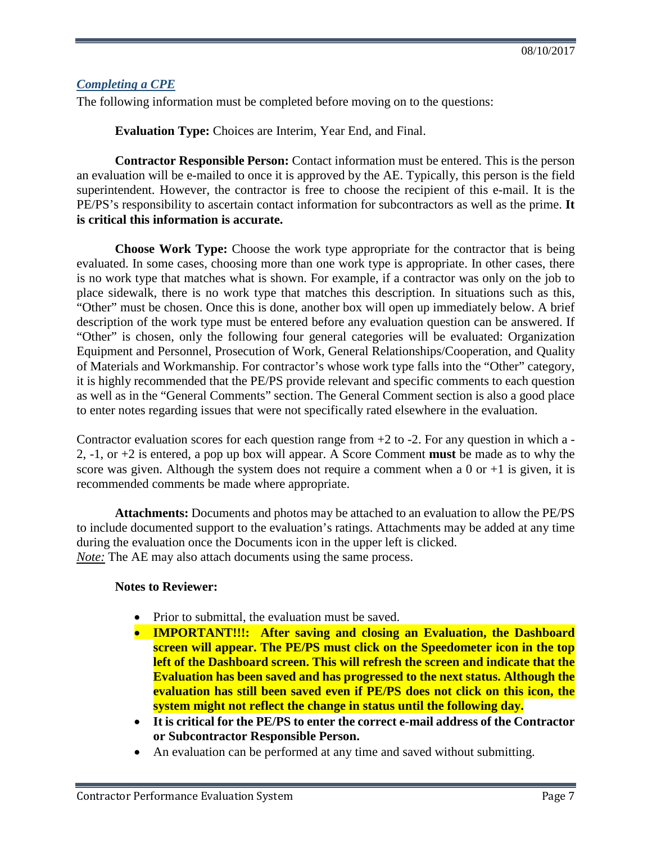### *Completing a CPE*

The following information must be completed before moving on to the questions:

**Evaluation Type:** Choices are Interim, Year End, and Final.

**Contractor Responsible Person:** Contact information must be entered. This is the person an evaluation will be e-mailed to once it is approved by the AE. Typically, this person is the field superintendent. However, the contractor is free to choose the recipient of this e-mail. It is the PE/PS's responsibility to ascertain contact information for subcontractors as well as the prime. **It is critical this information is accurate.**

**Choose Work Type:** Choose the work type appropriate for the contractor that is being evaluated. In some cases, choosing more than one work type is appropriate. In other cases, there is no work type that matches what is shown. For example, if a contractor was only on the job to place sidewalk, there is no work type that matches this description. In situations such as this, "Other" must be chosen. Once this is done, another box will open up immediately below. A brief description of the work type must be entered before any evaluation question can be answered. If "Other" is chosen, only the following four general categories will be evaluated: Organization Equipment and Personnel, Prosecution of Work, General Relationships/Cooperation, and Quality of Materials and Workmanship. For contractor's whose work type falls into the "Other" category, it is highly recommended that the PE/PS provide relevant and specific comments to each question as well as in the "General Comments" section. The General Comment section is also a good place to enter notes regarding issues that were not specifically rated elsewhere in the evaluation.

Contractor evaluation scores for each question range from  $+2$  to  $-2$ . For any question in which a -2, -1, or +2 is entered, a pop up box will appear. A Score Comment **must** be made as to why the score was given. Although the system does not require a comment when a  $0$  or  $+1$  is given, it is recommended comments be made where appropriate.

**Attachments:** Documents and photos may be attached to an evaluation to allow the PE/PS to include documented support to the evaluation's ratings. Attachments may be added at any time during the evaluation once the Documents icon in the upper left is clicked. *Note:* The AE may also attach documents using the same process.

#### **Notes to Reviewer:**

- Prior to submittal, the evaluation must be saved.
- **IMPORTANT!!!: After saving and closing an Evaluation, the Dashboard screen will appear. The PE/PS must click on the Speedometer icon in the top left of the Dashboard screen. This will refresh the screen and indicate that the Evaluation has been saved and has progressed to the next status. Although the evaluation has still been saved even if PE/PS does not click on this icon, the system might not reflect the change in status until the following day.**
- **It is critical for the PE/PS to enter the correct e-mail address of the Contractor or Subcontractor Responsible Person.**
- An evaluation can be performed at any time and saved without submitting.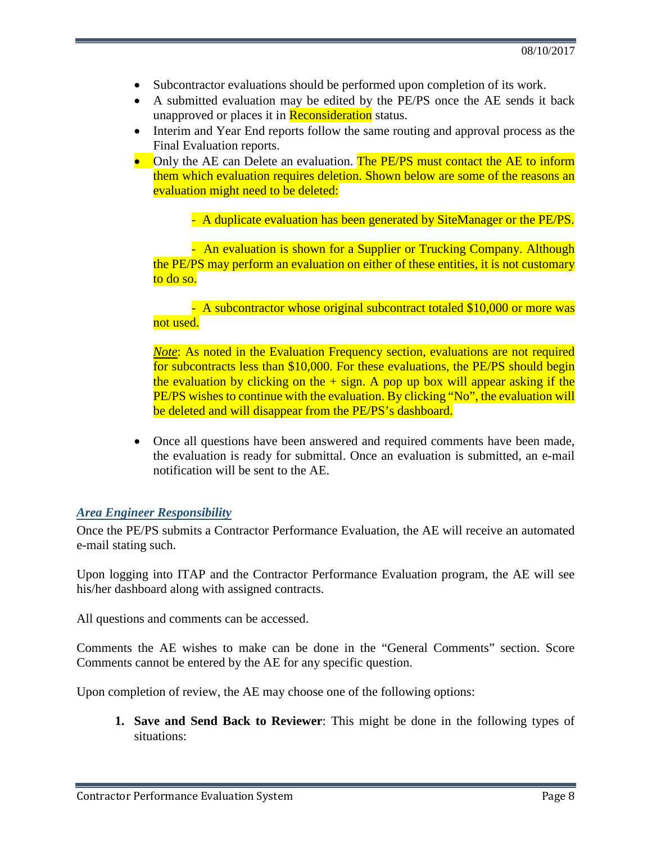- Subcontractor evaluations should be performed upon completion of its work.
- A submitted evaluation may be edited by the PE/PS once the AE sends it back unapproved or places it in Reconsideration status.
- Interim and Year End reports follow the same routing and approval process as the Final Evaluation reports.
- Only the AE can Delete an evaluation. The PE/PS must contact the AE to inform them which evaluation requires deletion. Shown below are some of the reasons an evaluation might need to be deleted:

- A duplicate evaluation has been generated by SiteManager or the PE/PS.

- An evaluation is shown for a Supplier or Trucking Company. Although the PE/PS may perform an evaluation on either of these entities, it is not customary to do so.

- A subcontractor whose original subcontract totaled \$10,000 or more was not used.

*Note*: As noted in the Evaluation Frequency section, evaluations are not required for subcontracts less than \$10,000. For these evaluations, the PE/PS should begin the evaluation by clicking on the  $+$  sign. A pop up box will appear asking if the PE/PS wishes to continue with the evaluation. By clicking "No", the evaluation will be deleted and will disappear from the PE/PS's dashboard.

• Once all questions have been answered and required comments have been made, the evaluation is ready for submittal. Once an evaluation is submitted, an e-mail notification will be sent to the AE.

#### *Area Engineer Responsibility*

Once the PE/PS submits a Contractor Performance Evaluation, the AE will receive an automated e-mail stating such.

Upon logging into ITAP and the Contractor Performance Evaluation program, the AE will see his/her dashboard along with assigned contracts.

All questions and comments can be accessed.

Comments the AE wishes to make can be done in the "General Comments" section. Score Comments cannot be entered by the AE for any specific question.

Upon completion of review, the AE may choose one of the following options:

**1. Save and Send Back to Reviewer**: This might be done in the following types of situations: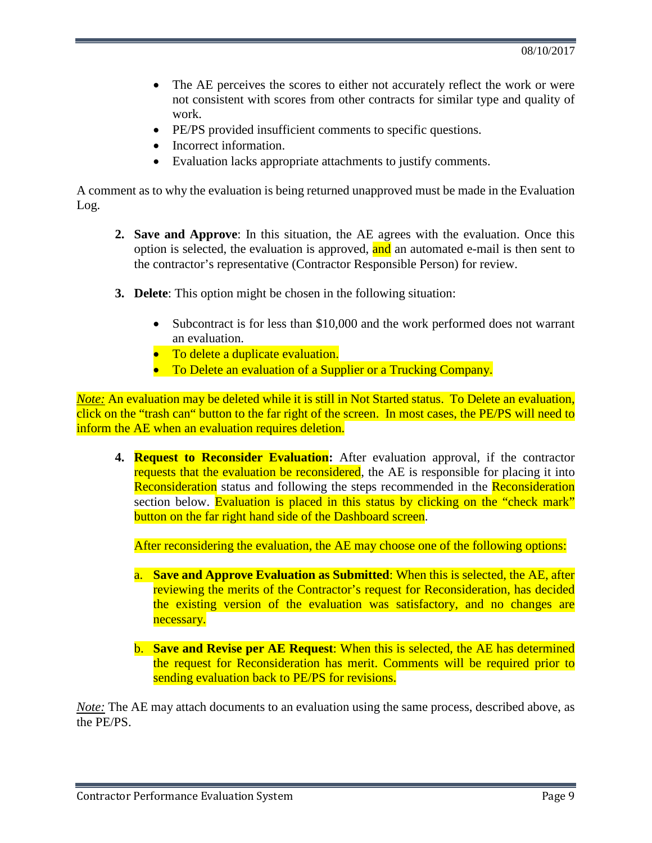- The AE perceives the scores to either not accurately reflect the work or were not consistent with scores from other contracts for similar type and quality of work.
- PE/PS provided insufficient comments to specific questions.
- Incorrect information.
- Evaluation lacks appropriate attachments to justify comments.

A comment as to why the evaluation is being returned unapproved must be made in the Evaluation Log.

- **2. Save and Approve**: In this situation, the AE agrees with the evaluation. Once this option is selected, the evaluation is approved, and an automated e-mail is then sent to the contractor's representative (Contractor Responsible Person) for review.
- **3. Delete**: This option might be chosen in the following situation:
	- Subcontract is for less than \$10,000 and the work performed does not warrant an evaluation.
	- To delete a duplicate evaluation.
	- To Delete an evaluation of a Supplier or a Trucking Company.

*Note*: An evaluation may be deleted while it is still in Not Started status. To Delete an evaluation, click on the "trash can" button to the far right of the screen. In most cases, the PE/PS will need to inform the AE when an evaluation requires deletion.

**4. Request to Reconsider Evaluation:** After evaluation approval, if the contractor requests that the evaluation be reconsidered, the AE is responsible for placing it into Reconsideration status and following the steps recommended in the Reconsideration section below. Evaluation is placed in this status by clicking on the "check mark" button on the far right hand side of the Dashboard screen.

After reconsidering the evaluation, the AE may choose one of the following options:

- a. **Save and Approve Evaluation as Submitted**: When this is selected, the AE, after reviewing the merits of the Contractor's request for Reconsideration, has decided the existing version of the evaluation was satisfactory, and no changes are necessary.
- b. **Save and Revise per AE Request**: When this is selected, the AE has determined the request for Reconsideration has merit. Comments will be required prior to sending evaluation back to PE/PS for revisions.

*Note:* The AE may attach documents to an evaluation using the same process, described above, as the PE/PS.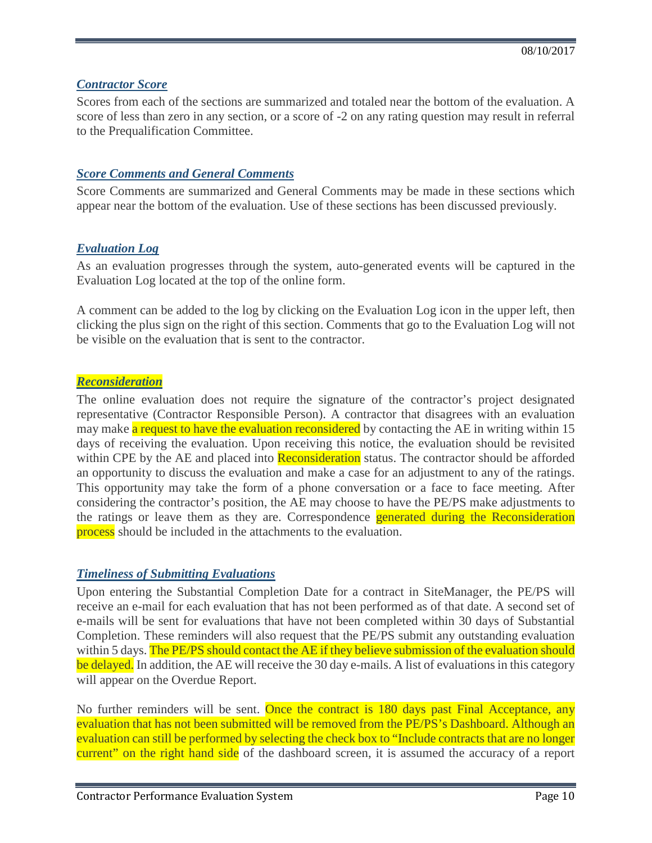### *Contractor Score*

Scores from each of the sections are summarized and totaled near the bottom of the evaluation. A score of less than zero in any section, or a score of -2 on any rating question may result in referral to the Prequalification Committee.

#### *Score Comments and General Comments*

Score Comments are summarized and General Comments may be made in these sections which appear near the bottom of the evaluation. Use of these sections has been discussed previously.

#### *Evaluation Log*

As an evaluation progresses through the system, auto-generated events will be captured in the Evaluation Log located at the top of the online form.

A comment can be added to the log by clicking on the Evaluation Log icon in the upper left, then clicking the plus sign on the right of this section. Comments that go to the Evaluation Log will not be visible on the evaluation that is sent to the contractor.

#### *Reconsideration*

The online evaluation does not require the signature of the contractor's project designated representative (Contractor Responsible Person). A contractor that disagrees with an evaluation may make a request to have the evaluation reconsidered by contacting the AE in writing within 15 days of receiving the evaluation. Upon receiving this notice, the evaluation should be revisited within CPE by the AE and placed into **Reconsideration** status. The contractor should be afforded an opportunity to discuss the evaluation and make a case for an adjustment to any of the ratings. This opportunity may take the form of a phone conversation or a face to face meeting. After considering the contractor's position, the AE may choose to have the PE/PS make adjustments to the ratings or leave them as they are. Correspondence **generated during the Reconsideration** process should be included in the attachments to the evaluation.

### *Timeliness of Submitting Evaluations*

Upon entering the Substantial Completion Date for a contract in SiteManager, the PE/PS will receive an e-mail for each evaluation that has not been performed as of that date. A second set of e-mails will be sent for evaluations that have not been completed within 30 days of Substantial Completion. These reminders will also request that the PE/PS submit any outstanding evaluation within 5 days. The PE/PS should contact the AE if they believe submission of the evaluation should be delayed. In addition, the AE will receive the 30 day e-mails. A list of evaluations in this category will appear on the Overdue Report.

No further reminders will be sent. Once the contract is 180 days past Final Acceptance, any evaluation that has not been submitted will be removed from the PE/PS's Dashboard. Although an evaluation can still be performed by selecting the check box to "Include contracts that are no longer current" on the right hand side of the dashboard screen, it is assumed the accuracy of a report